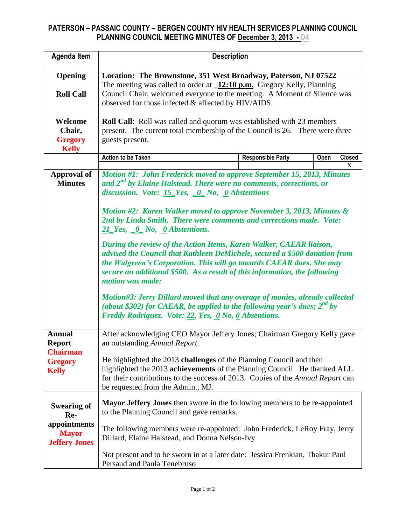## **PATERSON – PASSAIC COUNTY – BERGEN COUNTY HIV HEALTH SERVICES PLANNING COUNCIL PLANNING COUNCIL MEETING MINUTES OF December 3, 2013 - D4**

| <b>Agenda Item</b>                                                                  | <b>Description</b>                                                                                                                                                                                                                                                                                                                                                                                                                                                                                                                                                                                                                                                                                                                                                                                                                                                                                                                             |                          |      |        |  |  |  |
|-------------------------------------------------------------------------------------|------------------------------------------------------------------------------------------------------------------------------------------------------------------------------------------------------------------------------------------------------------------------------------------------------------------------------------------------------------------------------------------------------------------------------------------------------------------------------------------------------------------------------------------------------------------------------------------------------------------------------------------------------------------------------------------------------------------------------------------------------------------------------------------------------------------------------------------------------------------------------------------------------------------------------------------------|--------------------------|------|--------|--|--|--|
| Opening<br><b>Roll Call</b>                                                         | Location: The Brownstone, 351 West Broadway, Paterson, NJ 07522<br>The meeting was called to order at $\_12:10 \text{ p.m.}$ Gregory Kelly, Planning<br>Council Chair, welcomed everyone to the meeting. A Moment of Silence was<br>observed for those infected & affected by HIV/AIDS.                                                                                                                                                                                                                                                                                                                                                                                                                                                                                                                                                                                                                                                        |                          |      |        |  |  |  |
| Welcome<br>Chair,<br><b>Gregory</b><br><b>Kelly</b>                                 | <b>Roll Call:</b> Roll was called and quorum was established with 23 members<br>present. The current total membership of the Council is 26. There were three<br>guests present.                                                                                                                                                                                                                                                                                                                                                                                                                                                                                                                                                                                                                                                                                                                                                                |                          |      |        |  |  |  |
|                                                                                     | <b>Action to be Taken</b>                                                                                                                                                                                                                                                                                                                                                                                                                                                                                                                                                                                                                                                                                                                                                                                                                                                                                                                      | <b>Responsible Party</b> | Open | Closed |  |  |  |
| <b>Approval of</b><br><b>Minutes</b>                                                | X<br>Motion #1: John Frederick moved to approve September 15, 2013, Minutes<br>and $2^{nd}$ by Elaine Halstead. There were no comments, corrections, or<br>discussion. Vote: 15 Yes, 0 No, 0 Abstentions<br>Motion #2: Karen Walker moved to approve November 3, 2013, Minutes &<br>2nd by Linda Smith. There were comments and corrections made. Vote:<br>21 Yes, 0 No, 0 Abstentions.<br>During the review of the Action Items, Karen Walker, CAEAR liaison,<br>advised the Council that Kathleen DeMichele, secured a \$500 donation from<br>the Walgreen's Corporation. This will go towards CAEAR dues. She may<br>secure an additional \$500. As a result of this information, the following<br>motion was made:<br>Motion#3: Jerry Dillard moved that any overage of monies, already collected<br>(about \$302) for CAEAR, be applied to the following year's dues; $2^{nd}$ by<br>Freddy Rodriguez. Vote: 22, Yes, 0 No, 0 Absentions. |                          |      |        |  |  |  |
| <b>Annual</b><br><b>Report</b><br><b>Chairman</b><br><b>Gregory</b><br><b>Kelly</b> | After acknowledging CEO Mayor Jeffery Jones; Chairman Gregory Kelly gave<br>an outstanding Annual Report.<br>He highlighted the 2013 challenges of the Planning Council and then<br>highlighted the 2013 achievements of the Planning Council. He thanked ALL<br>for their contributions to the success of 2013. Copies of the Annual Report can<br>be requested from the Admin., MJ.                                                                                                                                                                                                                                                                                                                                                                                                                                                                                                                                                          |                          |      |        |  |  |  |
| <b>Swearing of</b><br>Re-<br>appointments<br><b>Mayor</b><br><b>Jeffery Jones</b>   | Mayor Jeffery Jones then swore in the following members to be re-appointed<br>to the Planning Council and gave remarks.<br>The following members were re-appointed: John Frederick, LeRoy Fray, Jerry<br>Dillard, Elaine Halstead, and Donna Nelson-Ivy<br>Not present and to be sworn in at a later date: Jessica Frenkian, Thakur Paul<br>Persaud and Paula Tenebruso                                                                                                                                                                                                                                                                                                                                                                                                                                                                                                                                                                        |                          |      |        |  |  |  |